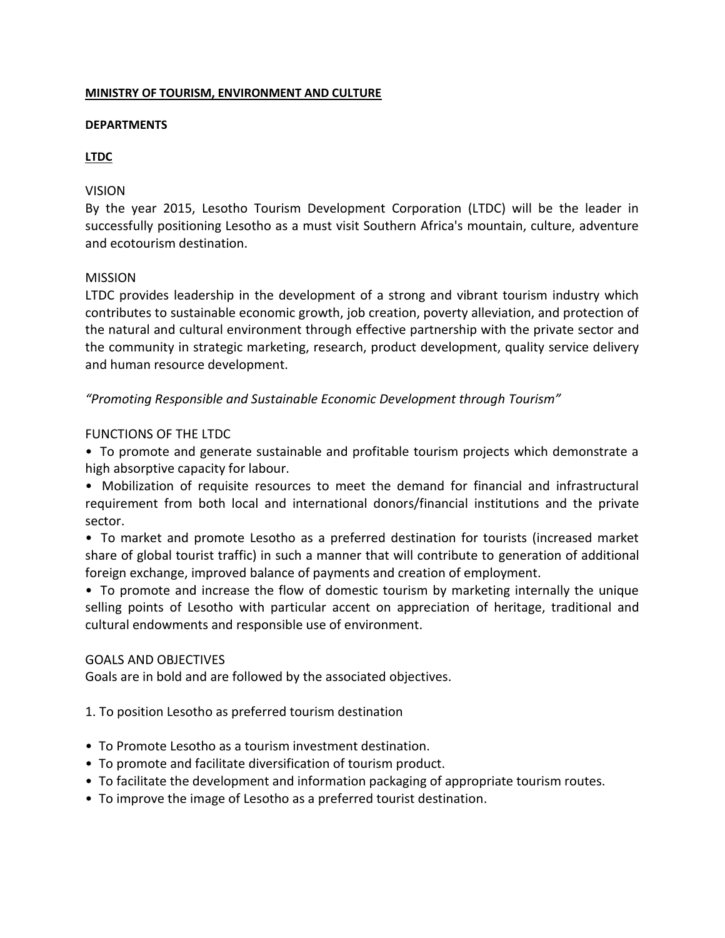## **MINISTRY OF TOURISM, ENVIRONMENT AND CULTURE**

#### **DEPARTMENTS**

# **LTDC**

## VISION

By the year 2015, Lesotho Tourism Development Corporation (LTDC) will be the leader in successfully positioning Lesotho as a must visit Southern Africa's mountain, culture, adventure and ecotourism destination.

## MISSION

LTDC provides leadership in the development of a strong and vibrant tourism industry which contributes to sustainable economic growth, job creation, poverty alleviation, and protection of the natural and cultural environment through effective partnership with the private sector and the community in strategic marketing, research, product development, quality service delivery and human resource development.

*"Promoting Responsible and Sustainable Economic Development through Tourism"*

## FUNCTIONS OF THE LTDC

• To promote and generate sustainable and profitable tourism projects which demonstrate a high absorptive capacity for labour.

• Mobilization of requisite resources to meet the demand for financial and infrastructural requirement from both local and international donors/financial institutions and the private sector.

• To market and promote Lesotho as a preferred destination for tourists (increased market share of global tourist traffic) in such a manner that will contribute to generation of additional foreign exchange, improved balance of payments and creation of employment.

• To promote and increase the flow of domestic tourism by marketing internally the unique selling points of Lesotho with particular accent on appreciation of heritage, traditional and cultural endowments and responsible use of environment.

#### GOALS AND OBJECTIVES

Goals are in bold and are followed by the associated objectives.

1. To position Lesotho as preferred tourism destination

- To Promote Lesotho as a tourism investment destination.
- To promote and facilitate diversification of tourism product.
- To facilitate the development and information packaging of appropriate tourism routes.
- To improve the image of Lesotho as a preferred tourist destination.